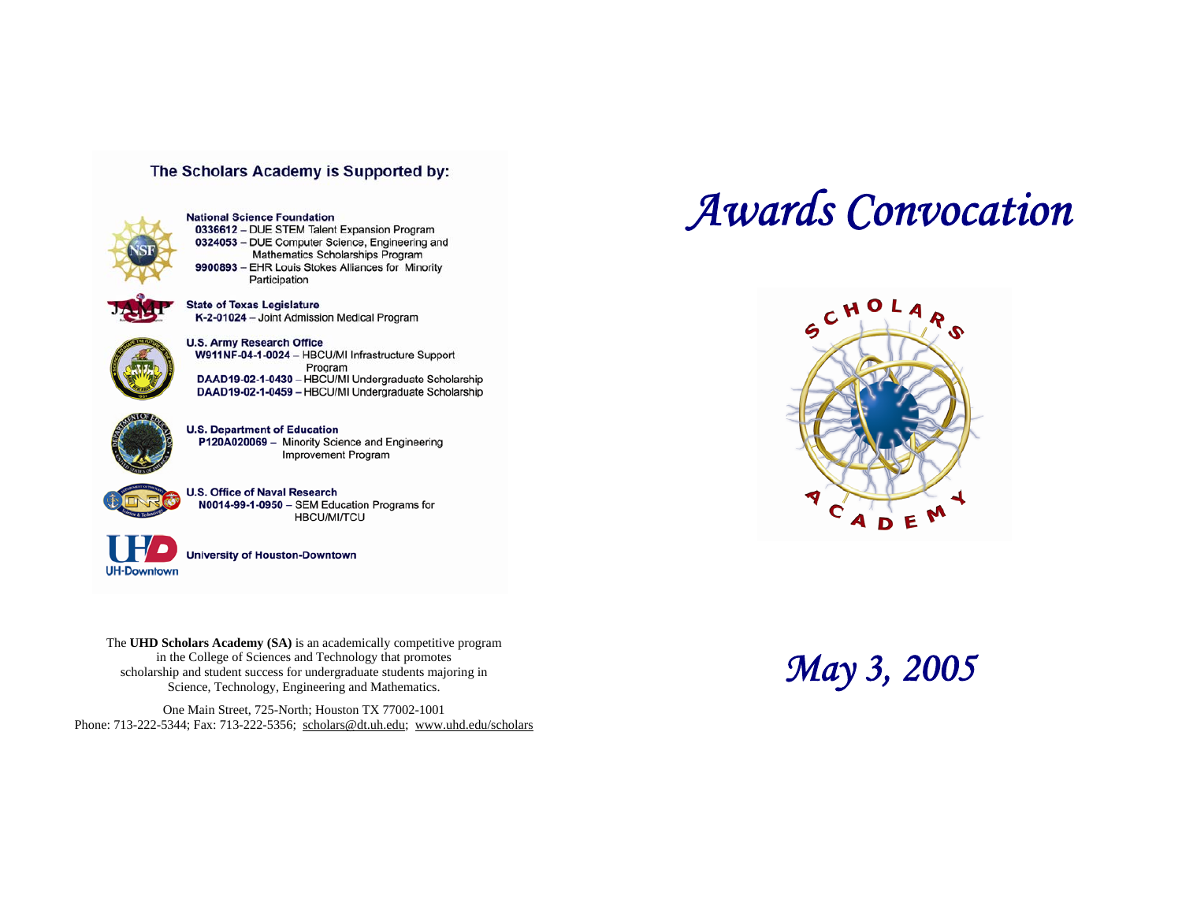## The Scholars Academy is Supported by:



**National Science Foundation** 0336612 - DUE STEM Talent Expansion Program 0324053 - DUE Computer Science, Engineering and Mathematics Scholarships Program 9900893 - EHR Louis Stokes Alliances for Minority Participation



**State of Texas Legislature** K-2-01024 - Joint Admission Medical Program

**U.S. Army Research Office** W911NF-04-1-0024 - HBCU/MI Infrastructure Support Program DAAD19-02-1-0430 - HBCU/MI Undergraduate Scholarship DAAD19-02-1-0459 - HBCU/MI Undergraduate Scholarship



**U.S. Department of Education** P120A020069 - Minority Science and Engineering **Improvement Program** 



**U.S. Office of Naval Research** N0014-99-1-0950 - SEM Education Programs for **HBCU/MI/TCU** 



**University of Houston-Downtown** 

The **UHD Scholars Academy (SA)** is an academically competitive program in the College of Sciences and Technology that promotes in the College of Sciences and Technology that promotes<br>
scholarship and student success for undergraduate students majoring in *Science*, Technology, Engineering and Mathematics.

One Main Street, 725-North; Houston TX 77002-1001 Phone: 713-222-5344; Fax: 713-222-5356; [scholars@dt.uh.edu](mailto:scholars@dt.uh.edu); <www.uhd.edu/scholars>

# *Awards Convocation*

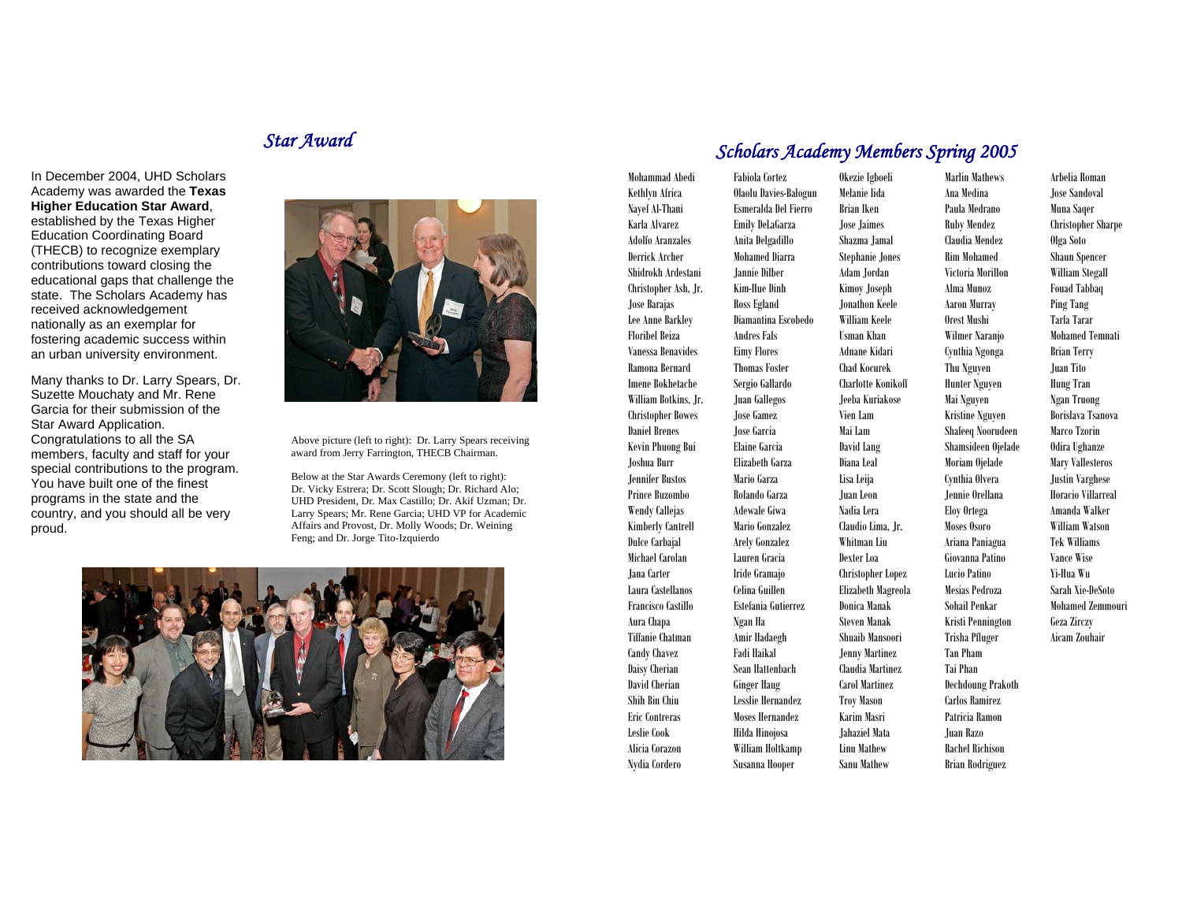# *Star Award*

In December 2004, UHD Scholars Academy was awarded the **Texas Higher Education Star Award**, established by the Texas Higher Education Coordinating Board (THECB) to recognize exemplary contributions toward closing the educational gaps that challenge the state. The Scholars Academy has received acknowledgement nationally as an exemplar for fostering academic success within an urban university environment.

Many thanks to Dr. Larry Spears, Dr. Suzette Mouchaty and Mr. Rene Garcia for their submission of the Star Award Application. Congratulations to all the SA members, faculty and staff for your special contributions to the program. You have built one of the finest programs in the state and the country, and you should all be very proud.



Above picture (left to right): Dr. Larry Spears receiving award from Jerry Farrington, THECB Chairman.

Below at the Star Awards Ceremony (left to right): Dr. Vicky Estrera; Dr. Scott Slough; Dr. Richard Alo; UHD President, Dr. Max Castillo; Dr. Akif Uzman; Dr. Larry Spears; Mr. Rene Garcia; UHD VP for Academic Affairs and Provost, Dr. Molly Woods; Dr. Weining Feng; and Dr. Jorge Tito-Izquierdo



## *Scholars Academy Members Spring 2005*

Alicia Corazon William Holtkamp Linu Mathew Rachel Richison Nydia Cordero Susanna Hooper Sanu Mathew Brian Rodriguez

Mohammad Abedi Fabiola Cortez Okezie Igboeli Marlin Mathews Arbelia Roman Kethlyn Africa Olaolu Davies-Balogun Melanie Iida Ana Medina Jose Sandoval Nayef Al-Thani Esmeralda Del Fierro Brian Iken Paula Medrano Muna Saqer Karla Alvarez Emily DeLaGarza Jose Jaimes Ruby Mendez Christopher Sharpe Adolfo Aranzales Anita Delgadillo Shazma Jamal Claudia Mendez Olga Soto Derrick Archer Mohamed Diarra Stephanie Jones Rim Mohamed Shaun Spencer Shidrokh Ardestani Jannie Dilber Adam Jordan Victoria Morillon William Stegall Christopher Ash, Jr. Kim-Hue Dinh Kimoy Joseph Alma Munoz Fouad Tabbaq Jose Barajas Ross Egland Jonathon Keele Aaron Murray Ping Tang Lee Anne Barkley Diamantina Escobedo William Keele Orest Mushi Tarfa Tarar Floribel Beiza Andres Fals Usman Khan Wilmer Naranjo Mohamed Temnati Vanessa Benavides Eimy Flores Adnane Kidari Cynthia Ngonga Brian Terry Ramona Bernard Thomas Foster Chad Kocurek Thu Nguyen Juan Tito Imene Bokhetache Sergio Gallardo Charlotte Konikoff Hunter Nguyen Hung Tran William Botkins, Jr. Juan Gallegos Jeeba Kuriakose Mai Nguyen Ngan Truong Christopher Bowes Jose Gamez Vien Lam Kristine Nguyen Borislava Tsanova Daniel Brenes Jose Garcia Mai Lam Shafeeq Noorudeen Marco Tzorin Kevin Phuong Bui Elaine Garcia David Lang Shamsideen Ojelade Odira Ughanze Joshua Burr Elizabeth Garza Diana Leal Moriam Ojelade Mary Vallesteros Jennifer Bustos Mario Garza Lisa Leija Cynthia Olvera Justin Varghese Prince Buzombo Rolando Garza Juan Leon Jennie Orellana Horacio Villarreal Wendy Callejas Adewale Giwa Nadia Lera Eloy Ortega Amanda Walker Kimberly Cantrell Mario Gonzalez Claudio Lima, Jr. Moses Osoro William Watson Dulce Carbajal Arely Gonzalez Whitman Liu Ariana Paniagua Tek Williams Michael Carolan Lauren Gracia Dexter Loa Giovanna Patino Vance Wise Jana Carter Iride Gramajo Christopher Lopez Lucio Patino Yi-Hua Wu Laura Castellanos Celina Guillen Elizabeth Magreola Mesias Pedroza Sarah Xie-DeSoto Francisco Castillo Estefania Gutierrez Donica Manak Sohail Penkar Mohamed Zemmouri Aura Chapa Ngan Ha Steven Manak Kristi Pennington Geza Zirczy Tiffanie Chatman Amir Hadaegh Shuaib Mansoori Trisha Pfluger Aicam Zouhair Candy Chavez Fadi Haikal Jenny Martinez Tan Pham Daisy Cherian Sean Hattenbach Claudia Martinez Tai Phan David Cherian Ginger Haug Carol Martinez Dechdoung Prakoth Shih Bin Chiu Lesslie Hernandez Troy Mason Carlos Ramirez Eric Contreras Moses Hernandez Karim Masri Patricia Ramon Leslie Cook Hilda Hinojosa Jahaziel Mata Juan Razo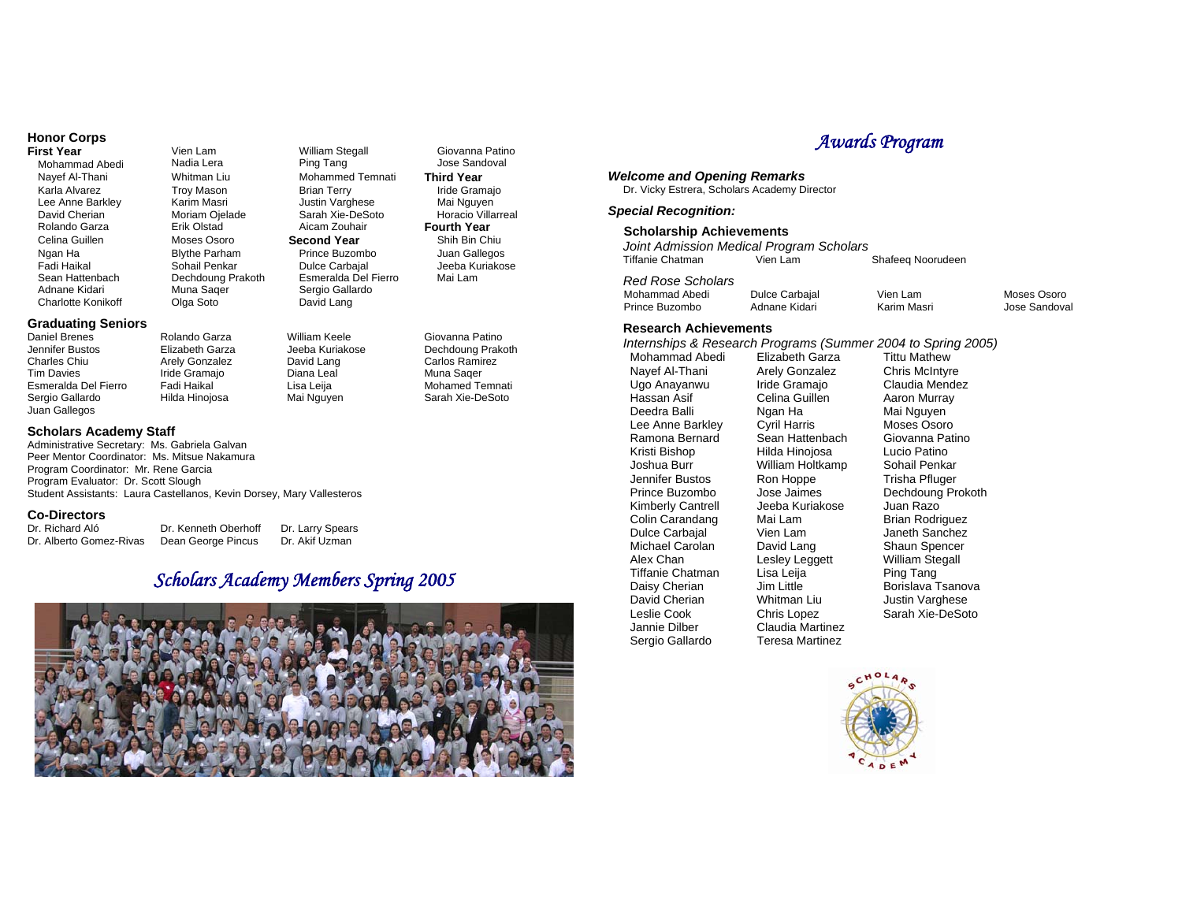# **Honor Corps**

Mohammad Abedi Nayef Al-Thani Whitman Liu Mohammed Temnati **Third Year**  David Cherian **Moriam Ojelade** Sarah Xie-DeSoto **Rolando Garza**<br>Rolando Garza **Brik Olstad** Aicam Zouhair Sean Hattenbach Dechdoung Prakoth Esmeralda Del Fierro Mai Lam Adnane Kidari Charlotte Konikoff

### **Graduating Seniors**

Daniel Brenes Rolando Garza William Keele Giovanna Patino Jennifer Bustos Elizabeth Garza Jeeba Kuriakose Dechdoung Prakoth Charles Chiu Tim Davies Esmeralda Del Fierro Fadi Haikal **Lisa Leija**<br>1991 - Sergio Gallardo Hilda Hinoiosa Mai Nguye Juan Gallegos

#### **Scholars Academy Staff**

Administrative Secretary: Ms. Gabriela Galvan Peer Mentor Coordinator: Ms. Mitsue Nakamura Program Coordinator: Mr. Rene Garcia Program Evaluator: Dr. Scott Slough Student Assistants: Laura Castellanos, Kevin Dorsey, Mary Vallesteros

Muna Saqer Olga Soto

Arely Gonzalez Iride Gramajo<br>Fadi Haikal

#### **Co-Directors**

Dr. Richard Aló Dr. Kenneth Oberhoff Dr. Larry Spears Dr. Alberto Gomez-Rivas Dean George Pincus Dr. Akif Uzman

# *Scholars Academy Members Spring 2005*

Sergio Gallardo David Lang

David Lang Diana Leal



Vien Lam **First William Stegall** Giovanna Patino<br> **First Your Pring Tang** Tang Jose Sandoval Karla Alvarez Troy Mason Brian Terry Iride Gramajo Lee Anne Barkley Karim Masri Justin Varghese Mai Nguyen **Fourth Year**  Celina Guillen Moses Osoro **Second Year** Shih Bin Chiu Ngan Ha Blythe Parham Prince Buzombo Juan Gallegos Fadi Haikal Sohail Penkar Dulce Carbajal Jeeba Kuriakose

> Carlos Ramirez Muna Saqer<br>Mohamed Temnati Hilda Hinojosa Mai Nguyen Sarah Xie-DeSoto

#### *Welcome and Opening Remarks*

Dr. Vicky Estrera, Scholars Academy Director

#### *Special Recognition:*

#### **Scholarship Achievements**

*Joint Admission Medical Program Scholars*  Tiffanie Chatman Shafeeq Noorudeen

*Red Rose Scholars* 

| Mohammad Abedi | Dulce Carbajal | Vien Lam    | Moses Osoro   |
|----------------|----------------|-------------|---------------|
| Prince Buzombo | Adnane Kidari  | Karim Masri | Jose Sandoval |

#### **Research Achievements**

*Internships & Research Programs (Summer 2004 to Spring 2005)*  Mohammad Abedi Nayef Al-Thani Arely Gonzalez Chris McIntyre<br>
Ugo Anayanwu Iride Gramajo Claudia Mende Ugo Anayanwu Iride Gramajo Claudia Mendez<br>Hassan Asif Celina Guillen Aaron Murray Hassan Asif Celina Guillen<br>Deedra Balli Ngan Ha Lee Anne Barkley Cyril Harris Moses Osoro<br>Ramona Bernard Sean Hattenbach Giovanna Patino Kristi Bishop Hilda Hinojosa Lucio Patino Joshua Burr William Holtkamp Sohail Penkar Jennifer Bustos Ron Hoppe Trisha Pfluger Kimberly Cantrell Jeeba Kuriakose Juan Razo Colin Carandang Mai Lam Brian Rodriguez<br>
Dulce Carbaial Vien Lam Brian Hollanchez Michael Carolan David Lang Shaun Spencer<br>Alex Chan Leslev Legaett William Stegall Tiffanie Chatman Lisa Leija<br>Daisy Cherian Jim Little David Cherian Mhitman Liu Justin Varghese<br>
Leslie Cook Chris Lopez Sarah Xie-DeSor Leslie Cook Chris Lopez Sarah Xie-DeSoto<br>Jannie Dilber Claudia Martinez

Ngan Ha<br>Cyril Harris Moses Osoro Sean Hattenbach Lesley Leggett William Ste<br>
Lisa Leija **Marko Ping Tang** Claudia Martinez Sergio Gallardo Teresa Martinez

Prince Buzombo Jose Jaimes Dechdoung Prokoth Janeth Sanchez Daisy Cherian Jim Little Borislava Tsanova<br>David Cherian Whitman Liu Justin Varghese



# *Awards Program*